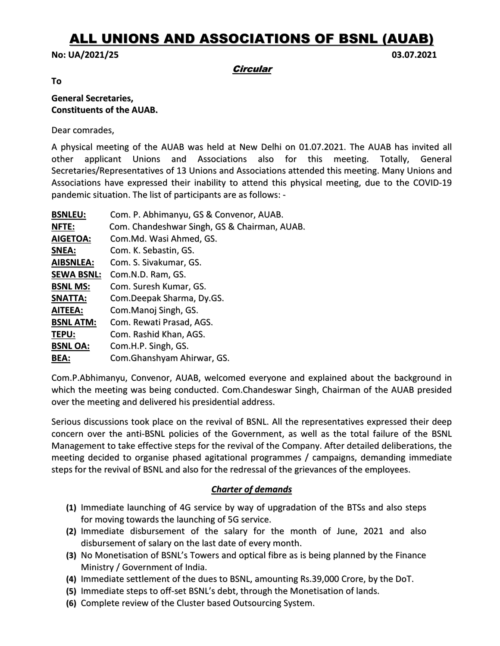# ALL UNIONS AND ASSOCIATIONS OF BSNL (AUAB)

#### No: UA/2021/25 03.07.2021

**Circular** 

To

### General Secretaries, Constituents of the AUAB.

Dear comrades,

A physical meeting of the AUAB was held at New Delhi on 01.07.2021. The AUAB has invited all other applicant Unions and Associations also for this meeting. Totally, General Secretaries/Representatives of 13 Unions and Associations attended this meeting. Many Unions and Associations have expressed their inability to attend this physical meeting, due to the COVID-19 pandemic situation. The list of participants are as follows: -

| Com. P. Abhimanyu, GS & Convenor, AUAB.      |
|----------------------------------------------|
| Com. Chandeshwar Singh, GS & Chairman, AUAB. |
| Com.Md. Wasi Ahmed, GS.                      |
| Com. K. Sebastin, GS.                        |
| Com. S. Sivakumar, GS.                       |
| Com.N.D. Ram, GS.                            |
| Com. Suresh Kumar, GS.                       |
| Com.Deepak Sharma, Dy.GS.                    |
| Com.Manoj Singh, GS.                         |
| Com. Rewati Prasad, AGS.                     |
| Com. Rashid Khan, AGS.                       |
| Com.H.P. Singh, GS.                          |
| Com. Ghanshyam Ahirwar, GS.                  |
|                                              |

Com.P.Abhimanyu, Convenor, AUAB, welcomed everyone and explained about the background in which the meeting was being conducted. Com.Chandeswar Singh, Chairman of the AUAB presided over the meeting and delivered his presidential address.

Serious discussions took place on the revival of BSNL. All the representatives expressed their deep concern over the anti-BSNL policies of the Government, as well as the total failure of the BSNL Management to take effective steps for the revival of the Company. After detailed deliberations, the meeting decided to organise phased agitational programmes / campaigns, demanding immediate steps for the revival of BSNL and also for the redressal of the grievances of the employees.

## Charter of demands

- (1) Immediate launching of 4G service by way of upgradation of the BTSs and also steps for moving towards the launching of 5G service.
- (2) Immediate disbursement of the salary for the month of June, 2021 and also disbursement of salary on the last date of every month.
- (3) No Monetisation of BSNL's Towers and optical fibre as is being planned by the Finance Ministry / Government of India.
- (4) Immediate settlement of the dues to BSNL, amounting Rs.39,000 Crore, by the DoT.
- (5) Immediate steps to off-set BSNL's debt, through the Monetisation of lands.
- (6) Complete review of the Cluster based Outsourcing System.